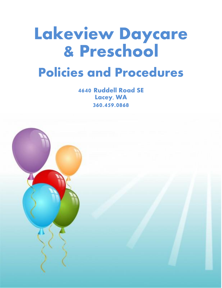# Lakeview Daycare & Preschool Policies and Procedures

4640 Ruddell Road SE Lacey, WA 360.459.0868

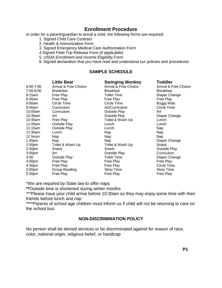# **Enrollment Procedure**

In order for a parent/guardian to enroll a child, the following forms are required:

- 1. Signed Child Care Contract
- 2. Health & Immunization Form
- 3. Signed Emergency Medical Care Authorization Form
- 4.Signed Field Trip Release Form (if applicable)
- 5. USDA Enrollment and Income Eligibility Form
- 6. Signed declaration that you have read and understand our policies and procedures

## **SAMPLE SCHEDULE**

|                    | <b>Little Bear</b>    | <b>Swinging Monkey</b> | Toddler               |
|--------------------|-----------------------|------------------------|-----------------------|
| $6:00 - 7:00$      | Arrival & Free Choice | Arrival & Free Choice  | Arrival & Free Choice |
| 7:00-8:00          | <b>Breakfast</b>      | <b>Breakfast</b>       | <b>Breakfast</b>      |
| 8:15am             | Free Play             | <b>Toilet Time</b>     | Diaper Change         |
| 8:30am             | Free Play             | Free Play              | Free Play             |
| 9:00am             | Circle Time           | Circle Time            | <b>Buggy Ride</b>     |
| $9:30$ am          | Curriculum            | Art/Curriculum         | Circle Time           |
| 10:00am            | Curriculum            | Outside Play           | Art                   |
| 10:30am            | Art                   | Outside Play           | Diaper Change         |
| 10:45am            | Free Play             | Toilet & Wash Up       | Lunch                 |
| 11:00am            | <b>Outside Play</b>   | Lunch                  | Lunch                 |
| 11:15am            | Outside Play          | Lunch                  | Nap                   |
| 11:30am            | Lunch                 | Nap                    | Nap                   |
| 12 Noon            | Nap                   | Nap                    | Nap                   |
| 1:30 <sub>pm</sub> | Nap                   | Nap                    | Diaper Change         |
| 2:00 <sub>pm</sub> | Toilet & Wash Up      | Toilet & Wash Up       | Snack                 |
| 2:30 <sub>pm</sub> | Snack                 | Snack                  | Outside Play          |
| 3:00 <sub>pm</sub> | Art                   | Outside Play           | Curriculum            |
| 3:30               | <b>Outside Play</b>   | <b>Toilet Time</b>     | Diaper Change         |
| 4:00 <sub>pm</sub> | Free Play             | Free Play              | Free Play             |
| 4:30 <sub>pm</sub> | Free Play             | Free Play              | Circle Time           |
| 5:00pm             | Group Reading         | <b>Story Time</b>      | <b>Story Time</b>     |
| 5:30pm             | Free Play             | Free Play              | Free Play             |

\*We are required by State law to offer naps

**\*\***Outside time is shortened during winter months

\*\*\*Please have your child arrive before 10:30am so they may enjoy some time with their friends before lunch and nap

\*\*\*\*Parents of school age children must inform us if child will not be returning to care on the school bus

## **NON-DISCRIMINATION POLICY**

No person shall be denied services or be discriminated against for reason of race, color, national origin, religious belief, or handicap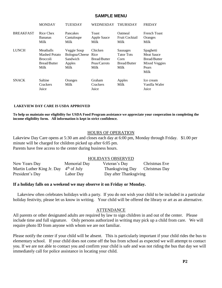## **SAMPLE MENU**

|                  | <b>MONDAY</b>                                                                       | <b>TUESDAY</b>                                              | <b>WEDNESDAY</b>                                               | <b>THURSDAY</b>                                                             | <b>FRIDAY</b>                                                                           |
|------------------|-------------------------------------------------------------------------------------|-------------------------------------------------------------|----------------------------------------------------------------|-----------------------------------------------------------------------------|-----------------------------------------------------------------------------------------|
| <b>BREAKFAST</b> | Rice Chex<br><b>Bananas</b><br>Milk                                                 | Pancakes<br>Cantaloupe<br>Milk                              | Toast<br>Apple Sauce<br>Milk                                   | Oatmeal<br>Fruit Cocktail<br>Milk                                           | <b>French Toast</b><br>Oranges<br>Milk                                                  |
| <b>LUNCH</b>     | Meatballs<br><b>Mashed Potato</b><br><b>Broccoli</b><br><b>Bread/Butter</b><br>Milk | Veggie Soup<br>Bologna/Cheese<br>Sandwich<br>Apples<br>Milk | Chicken<br>Rice<br><b>Bread/Butter</b><br>Peas/Carrots<br>Milk | <b>Sausages</b><br><b>Tator Tots</b><br>Corn<br><b>Bread/Butter</b><br>Milk | Spaghetti<br><b>Meat Sauce</b><br><b>Bread/Butter</b><br>Mixed Veggies<br>Pears<br>Milk |
| <b>SNACK</b>     | Saltine<br>Crackers<br>Juice                                                        | Oranges<br>Milk                                             | Graham<br>Crackers<br>Juice                                    | Apples<br>Milk                                                              | Ice cream<br>Vanilla Wafer<br>Juice                                                     |

#### **LAKEVIEW DAY CARE IS USDA APPROVED**

**To help us maintain our eligibility for USDA Food Program assistance we appreciate your cooperation in completing the income eligibility form. All information is kept in strict confidence.**

#### HOURS OF OPERATION

Lakeview Day Care opens at 5:30 am and closes each day at 6:00 pm, Monday through Friday. \$1.00 per minute will be charged for children picked up after 6:05 pm. Parents have free access to the center during business hours.

#### HOLIDAYS OBSERVED

| New Years Day                            | Memorial Day | Veteran's Day                  | Christmas Eve |
|------------------------------------------|--------------|--------------------------------|---------------|
| Martin Luther King Jr. Day $4th$ of July |              | Thanksgiving Day Christmas Day |               |
| President's Day                          | Labor Day    | Day after Thanksgiving         |               |

#### **If a holiday falls on a weekend we may observe it on Friday or Monday.**

 Lakeview often celebrates holidays with a party. If you do not wish your child to be included in a particular holiday festivity, please let us know in writing. Your child will be offered the library or art as an alternative.

#### ATTENDANCE

All parents or other designated adults are required by law to sign children in and out of the center. Please include time and full signature. Only persons authorized in writing may pick up a child from care. We will require photo ID from anyone with whom we are not familiar.

Please notify the center if your child will be absent. This is particularly important if your child rides the bus to elementary school. If your child does not come off the bus from school as expected we will attempt to contact you. If we are not able to contact you and confirm your child is safe and was not riding the bus that day we will immediately call for police assistance in locating your child.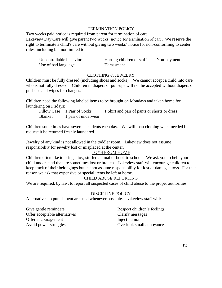## TERMINATION POLICY

Two weeks paid notice is required from parent for termination of care. Lakeview Day Care will give parent two weeks' notice for termination of care. We reserve the right to terminate a child's care without giving two weeks' notice for non-conforming to center rules, including but not limited to:

| Uncontrollable behavior | Hurting children or staff | Non-payment |
|-------------------------|---------------------------|-------------|
| Use of bad language     | Harassment                |             |

## CLOTHING & JEWELRY

Children must be fully dressed (including shoes and socks). We cannot accept a child into care who is not fully dressed. Children in diapers or pull-ups will not be accepted without diapers or pull-ups and wipes for changes.

Children need the following labeled items to be brought on Mondays and taken home for laundering on Fridays:

Pillow Case 1 Pair of Socks 1 Shirt and pair of pants or shorts or dress Blanket 1 pair of underwear

Children sometimes have several accidents each day. We will loan clothing when needed but request it be returned freshly laundered.

Jewelry of any kind is not allowed in the toddler room. Lakeview does not assume responsibility for jewelry lost or misplaced at the center.

#### TOYS FROM HOME

Children often like to bring a toy, stuffed animal or book to school. We ask you to help your child understand that are sometimes lost or broken. Lakeview staff will encourage children to keep track of their belongings but cannot assume responsibility for lost or damaged toys. For that reason we ask that expensive or special items be left at home.

## CHILD ABUSE REPORTING

We are required, by law, to report all suspected cases of child abuse to the proper authorities.

#### DISCIPLINE POLICY

Alternatives to punishment are used whenever possible. Lakeview staff will:

Give gentle reminders Respect children's feelings Offer acceptable alternatives Clarify messages Offer encouragement Inject humor Avoid power struggles **Overlook** small annoyances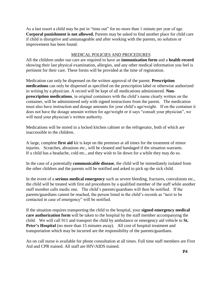As a last resort a child may be put in "time out" for no more than 1 minute per year of age. **Corporal punishment is not allowed.** Parents may be asked to find another place for child care if child is disruptive and unmanageable and after working with the parents, no solution or improvement has been found.

#### MEDICAL POLICIES AND PROCEDURES

All the children under our care are required to have an **immunization form** and a **health record** showing their last physical examination, allergies, and any other medical information you feel is pertinent for their care. These forms will be provided at the time of registration.

Medication can only be dispensed on the written approval of the parent. **Prescription medications** can only be dispersed as specified on the prescription label or otherwise authorized in writing by a physician. A record will be kept of all medications administered. **Nonprescription medications**, in original containers with the child's name clearly written on the container, will be administered only with signed instructions from the parent. The medication must also have instruction and dosage amounts for your child's age/weight. If on the container it does not have the dosage amount written for age/weight or it says "consult your physician", we will need your physician's written authority.

Medications will be stored in a locked kitchen cabinet or the refrigerator, both of which are inaccessible to the children.

A large, complete **first aid** kit is kept on the premises at all times for the treatment of minor injuries. Scratches, abrasions etc., will be cleaned and bandaged if the situation warrants. If a child has a headache, cold etc., and they wish to lie down for a while they may do so.

In the case of a potentially **communicable disease**, the child will be immediately isolated from the other children and the parents will be notified and asked to pick up the sick child.

In the event of a **serious medical emergency** such as severe bleeding, fractures, convulsions etc., the child will be treated with first aid procedures by a qualified member of the staff while another staff member calls medic one. The child's parents/guardians will then be notified. If the parents/guardians cannot be reached, the person listed in the child's records as "next to be contacted in case of emergency" will be notified.

If the situation requires transporting the child to the hospital, your **signed emergency medical care authorization form** will be taken to the hospital by the staff member accompanying the child. We will call 911 and transport the child by ambulance or emergency aid vehicle to **St.**  Peter's Hospital (no more than 15 minutes away). All cost of hospital treatment and transportation which may be incurred are the responsibility of the parents/guardians.

An on call nurse is available for phone consultation at all times. Full time staff members are First Aid and CPR trained. All staff are HIV/AIDS trained.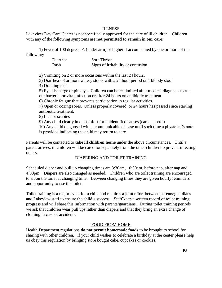## ILLNESS

Lakeview Day Care Center is not specifically approved for the care of ill children. Children with any of the following symptoms are **not permitted to remain in our care**:

1) Fever of 100 degrees F. (under arm) or higher if accompanied by one or more of the following:

| Diarrhea | Sore Throat                        |
|----------|------------------------------------|
| Rash     | Signs of irritability or confusion |

2) Vomiting on 2 or more occasions within the last 24 hours.

3) Diarrhea - 3 or more watery stools with a 24 hour period or 1 bloody stool

4) Draining rash

5) Eye discharge or pinkeye. Children can be readmitted after medical diagnosis to rule out bacterial or viral infection or after 24 hours on antibiotic treatment

6) Chronic fatigue that prevents participation in regular activities.

7) Open or oozing sores. Unless properly covered, or 24 hours has passed since starting antibiotic treatment.

8) Lice or scabies

9) Any child clearly in discomfort for unidentified causes (earaches etc.)

10) Any child diagnosed with a communicable disease until such time a physician's note is provided indicating the child may return to care.

Parents will be contacted to **take ill children home** under the above circumstances. Until a parent arrives, ill children will be cared for separately from the other children to prevent infecting others.

## DIAPERING AND TOILET TRAINING

Scheduled diaper and pull up changing times are 8:30am, 10:30am, before nap, after nap and 4:00pm. Diapers are also changed as needed. Children who are toilet training are encouraged to sit on the toilet at changing time. Between changing times they are given hourly reminders and opportunity to use the toilet.

Toilet training is a major event for a child and requires a joint effort between parents/guardians and Lakeview staff to ensure the child's success. Staff keep a written record of toilet training progress and will share this information with parents/guardians. During toilet training periods we ask that children wear pull ups rather than diapers and that they bring an extra change of clothing in case of accidents.

## FOOD FROM HOME

Health Department regulations **do not permit homemade foods** to be brought to school for sharing with other children. If your child wishes to celebrate a birthday at the center please help us obey this regulation by bringing store bought cake, cupcakes or cookies.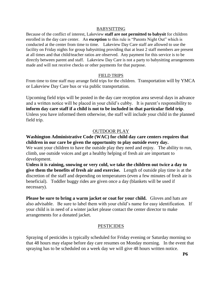## BABYSITTING

Because of the conflict of interest, Lakeview **staff are not permitted to babysit** for children enrolled in the day care center. An **exception** to this rule is "Parents Night Out" which is conducted at the center from time to time. Lakeview Day Care staff are allowed to use the facility on Friday nights for group babysitting providing that at least 2 staff members are present at all times and that child/teacher ratios are observed. Any payment for this service is to be directly between parent and staff. Lakeview Day Care is not a party to babysitting arrangements made and will not receive checks or other payments for that purpose.

# FIELD TRIPS

From time to time staff may arrange field trips for the children. Transportation will by YMCA or Lakeview Day Care bus or via public transportation.

Upcoming field trips will be posted in the day care reception area several days in advance and a written notice will be placed in your child's cubby. It is parent's responsibility to **inform day care staff if a child is not to be included in that particular field trip**. Unless you have informed them otherwise, the staff will include your child in the planned field trip.

# OUTDOOR PLAY

# **Washington Administrative Code (WAC) for child day care centers requires that children in our care be given the opportunity to play outside every day.**

We want your children to have the outside play they need and enjoy. The ability to run, climb, use outside voices and get a healthy helping of fresh air are important to development.

**Unless it is raining, snowing or very cold, we take the children out twice a day to give them the benefits of fresh air and exercise.** Length of outside play time is at the discretion of the staff and depending on temperatures (even a few minutes of fresh air is beneficial). Toddler buggy rides are given once a day (blankets will be used if necessary).

**Please be sure to bring a warm jacket or coat for your child.** Gloves and hats are also advisable. Be sure to label them with your child's name for easy identification. If your child is in need of a winter jacket please contact the center director to make arrangements for a donated jacket.

# **PESTICIDES**

Spraying of pesticides is typically scheduled for Friday evening or Saturday morning so that 48 hours may elapse before day care resumes on Monday morning. In the event that spraying has to be scheduled on a week day we will give 48 hours written notice.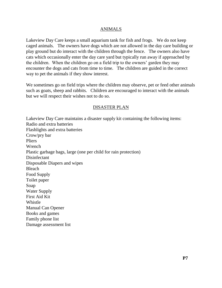## ANIMALS

Lakeview Day Care keeps a small aquarium tank for fish and frogs. We do not keep caged animals. The owners have dogs which are not allowed in the day care building or play ground but do interact with the children through the fence. The owners also have cats which occasionally enter the day care yard but typically run away if approached by the children. When the children go on a field trip to the owners' garden they may encounter the dogs and cats from time to time. The children are guided in the correct way to pet the animals if they show interest.

We sometimes go on field trips where the children may observe, pet or feed other animals such as goats, sheep and rabbits. Children are encouraged to interact with the animals but we will respect their wishes not to do so.

## DISASTER PLAN

Lakeview Day Care maintains a disaster supply kit containing the following items: Radio and extra batteries Flashlights and extra batteries Crow/pry bar Pliers Wrench Plastic garbage bags, large (one per child for rain protection) Disinfectant Disposable Diapers and wipes Bleach Food Supply Toilet paper Soap Water Supply First Aid Kit Whistle Manual Can Opener Books and games Family phone list Damage assessment list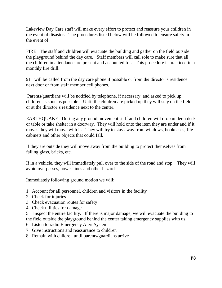Lakeview Day Care staff will make every effort to protect and reassure your children in the event of disaster. The procedures listed below will be followed to ensure safety in the event of:

FIRE The staff and children will evacuate the building and gather on the field outside the playground behind the day care. Staff members will call role to make sure that all the children in attendance are present and accounted for. This procedure is practiced in a monthly fire drill.

911 will be called from the day care phone if possible or from the director's residence next door or from staff member cell phones.

Parents/guardians will be notified by telephone, if necessary, and asked to pick up children as soon as possible. Until the children are picked up they will stay on the field or at the director's residence next to the center.

EARTHQUAKE During any ground movement staff and children will drop under a desk or table or take shelter in a doorway. They will hold onto the item they are under and if it moves they will move with it. They will try to stay away from windows, bookcases, file cabinets and other objects that could fall.

If they are outside they will move away from the building to protect themselves from falling glass, bricks, etc.

If in a vehicle, they will immediately pull over to the side of the road and stop. They will avoid overpasses, power lines and other hazards.

Immediately following ground motion we will:

- 1. Account for all personnel, children and visitors in the facility
- 2. Check for injuries
- 3. Check evacuation routes for safety
- 4. Check utilities for damage

5. Inspect the entire facility. If there is major damage, we will evacuate the building to the field outside the playground behind the center taking emergency supplies with us.

- 6. Listen to radio Emergency Alert System
- 7. Give instructions and reassurance to children
- 8. Remain with children until parents/guardians arrive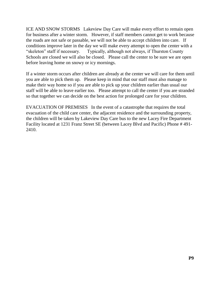ICE AND SNOW STORMS Lakeview Day Care will make every effort to remain open for business after a winter storm. However, if staff members cannot get to work because the roads are not safe or passable, we will not be able to accept children into care. If conditions improve later in the day we will make every attempt to open the center with a "skeleton" staff if necessary. Typically, although not always, if Thurston County Schools are closed we will also be closed. Please call the center to be sure we are open before leaving home on snowy or icy mornings.

If a winter storm occurs after children are already at the center we will care for them until you are able to pick them up. Please keep in mind that our staff must also manage to make their way home so if you are able to pick up your children earlier than usual our staff will be able to leave earlier too. Please attempt to call the center if you are stranded so that together we can decide on the best action for prolonged care for your children.

EVACUATION OF PREMISES In the event of a catastrophe that requires the total evacuation of the child care center, the adjacent residence and the surrounding property, the children will be taken by Lakeview Day Care bus to the new Lacey Fire Department Facility located at 1231 Franz Street SE (between Lacey Blvd and Pacific) Phone # 491- 2410.